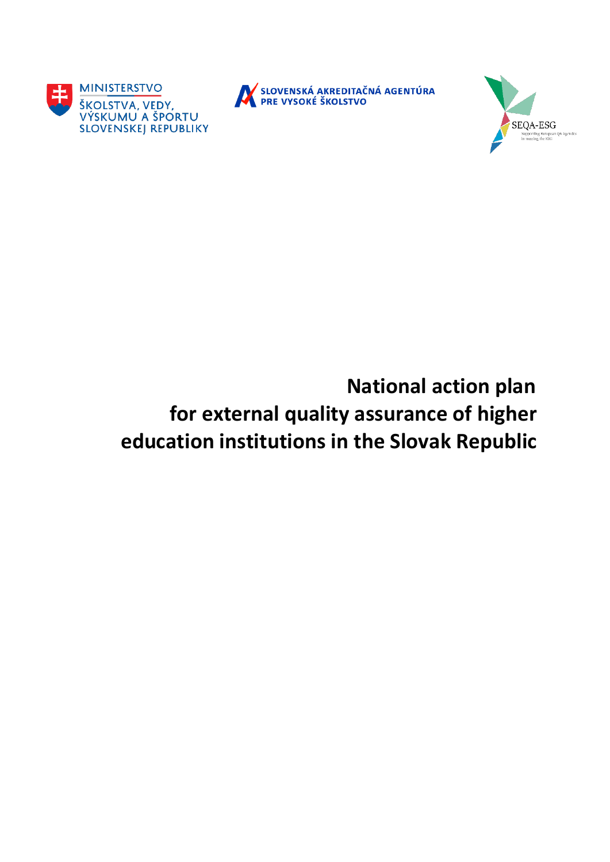



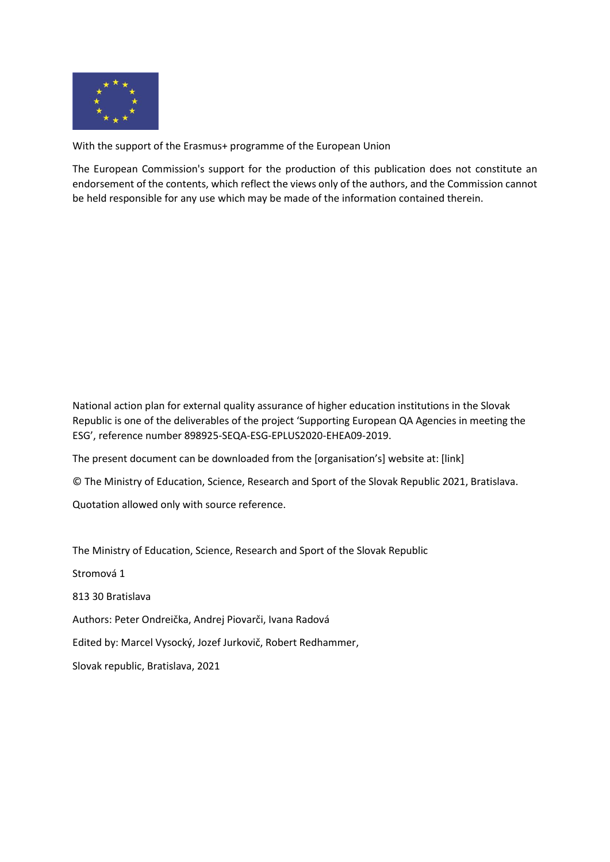

With the support of the Erasmus+ programme of the European Union

The European Commission's support for the production of this publication does not constitute an endorsement of the contents, which reflect the views only of the authors, and the Commission cannot be held responsible for any use which may be made of the information contained therein.

National action plan for external quality assurance of higher education institutions in the Slovak Republic is one of the deliverables of the project 'Supporting European QA Agencies in meeting the ESG', reference number 898925-SEQA-ESG-EPLUS2020-EHEA09-2019.

The present document can be downloaded from the [organisation's] website at: [link]

© The Ministry of Education, Science, Research and Sport of the Slovak Republic 2021, Bratislava.

Quotation allowed only with source reference.

The Ministry of Education, Science, Research and Sport of the Slovak Republic

Stromová 1

813 30 Bratislava

Authors: Peter Ondreička, Andrej Piovarči, Ivana Radová

Edited by: Marcel Vysocký, Jozef Jurkovič, Robert Redhammer,

Slovak republic, Bratislava, 2021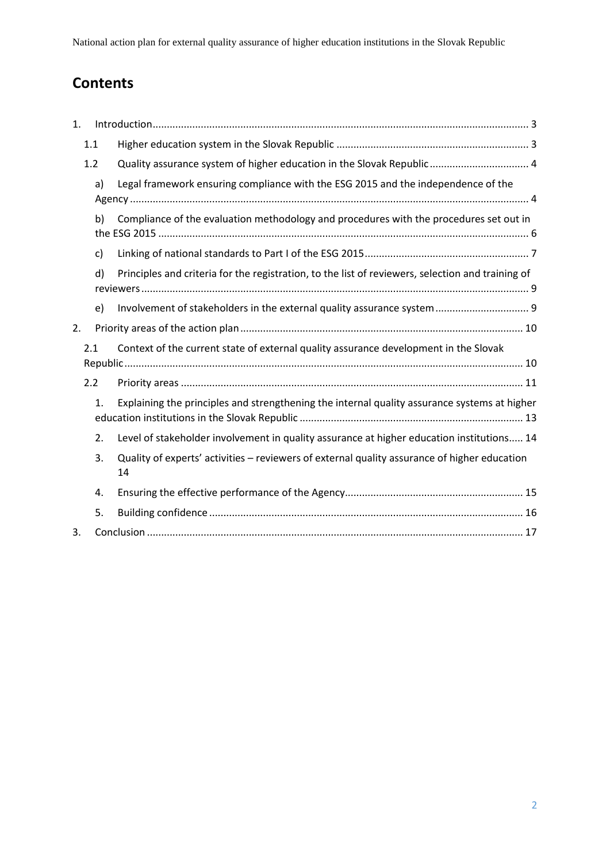# **Contents**

| 1. |     |                                                                                                    |  |  |
|----|-----|----------------------------------------------------------------------------------------------------|--|--|
|    | 1.1 |                                                                                                    |  |  |
|    | 1.2 | Quality assurance system of higher education in the Slovak Republic  4                             |  |  |
|    | a)  | Legal framework ensuring compliance with the ESG 2015 and the independence of the                  |  |  |
|    | b)  | Compliance of the evaluation methodology and procedures with the procedures set out in             |  |  |
|    | c)  |                                                                                                    |  |  |
|    | d)  | Principles and criteria for the registration, to the list of reviewers, selection and training of  |  |  |
|    | e)  | Involvement of stakeholders in the external quality assurance system 9                             |  |  |
| 2. |     |                                                                                                    |  |  |
|    | 2.1 | Context of the current state of external quality assurance development in the Slovak               |  |  |
|    | 2.2 |                                                                                                    |  |  |
|    | 1.  | Explaining the principles and strengthening the internal quality assurance systems at higher       |  |  |
|    | 2.  | Level of stakeholder involvement in quality assurance at higher education institutions 14          |  |  |
|    | 3.  | Quality of experts' activities - reviewers of external quality assurance of higher education<br>14 |  |  |
|    | 4.  |                                                                                                    |  |  |
|    | 5.  |                                                                                                    |  |  |
| 3. |     |                                                                                                    |  |  |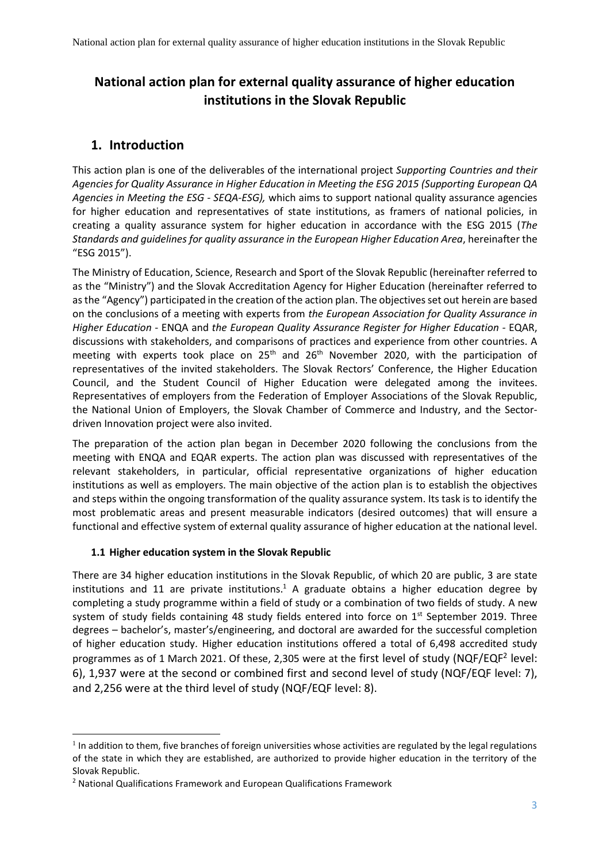## <span id="page-3-0"></span>**1. Introduction**

This action plan is one of the deliverables of the international project *Supporting Countries and their Agencies for Quality Assurance in Higher Education in Meeting the ESG 2015 (Supporting European QA Agencies in Meeting the ESG - SEQA-ESG),* which aims to support national quality assurance agencies for higher education and representatives of state institutions, as framers of national policies, in creating a quality assurance system for higher education in accordance with the ESG 2015 (*The Standards and guidelines for quality assurance in the European Higher Education Area*, hereinafter the "ESG 2015").

The Ministry of Education, Science, Research and Sport of the Slovak Republic (hereinafter referred to as the "Ministry") and the Slovak Accreditation Agency for Higher Education (hereinafter referred to as the "Agency") participated in the creation of the action plan. The objectives set out herein are based on the conclusions of a meeting with experts from *the European Association for Quality Assurance in Higher Education* - ENQA and *the European Quality Assurance Register for Higher Education -* EQAR, discussions with stakeholders, and comparisons of practices and experience from other countries. A meeting with experts took place on  $25<sup>th</sup>$  and  $26<sup>th</sup>$  November 2020, with the participation of representatives of the invited stakeholders. The Slovak Rectors' Conference, the Higher Education Council, and the Student Council of Higher Education were delegated among the invitees. Representatives of employers from the Federation of Employer Associations of the Slovak Republic, the National Union of Employers, the Slovak Chamber of Commerce and Industry, and the Sectordriven Innovation project were also invited.

The preparation of the action plan began in December 2020 following the conclusions from the meeting with ENQA and EQAR experts. The action plan was discussed with representatives of the relevant stakeholders, in particular, official representative organizations of higher education institutions as well as employers. The main objective of the action plan is to establish the objectives and steps within the ongoing transformation of the quality assurance system. Its task is to identify the most problematic areas and present measurable indicators (desired outcomes) that will ensure a functional and effective system of external quality assurance of higher education at the national level.

#### <span id="page-3-1"></span>**1.1 Higher education system in the Slovak Republic**

There are 34 higher education institutions in the Slovak Republic, of which 20 are public, 3 are state institutions and 11 are private institutions.<sup>1</sup> A graduate obtains a higher education degree by completing a study programme within a field of study or a combination of two fields of study. A new system of study fields containing 48 study fields entered into force on  $1<sup>st</sup>$  September 2019. Three degrees – bachelor's, master's/engineering, and doctoral are awarded for the successful completion of higher education study. Higher education institutions offered a total of 6,498 accredited study programmes as of 1 March 2021. Of these, 2,305 were at the first level of study (NQF/EQF<sup>2</sup> level: 6), 1,937 were at the second or combined first and second level of study (NQF/EQF level: 7), and 2,256 were at the third level of study (NQF/EQF level: 8).

**.** 

 $1$  In addition to them, five branches of foreign universities whose activities are regulated by the legal regulations of the state in which they are established, are authorized to provide higher education in the territory of the Slovak Republic.

<sup>2</sup> National Qualifications Framework and European Qualifications Framework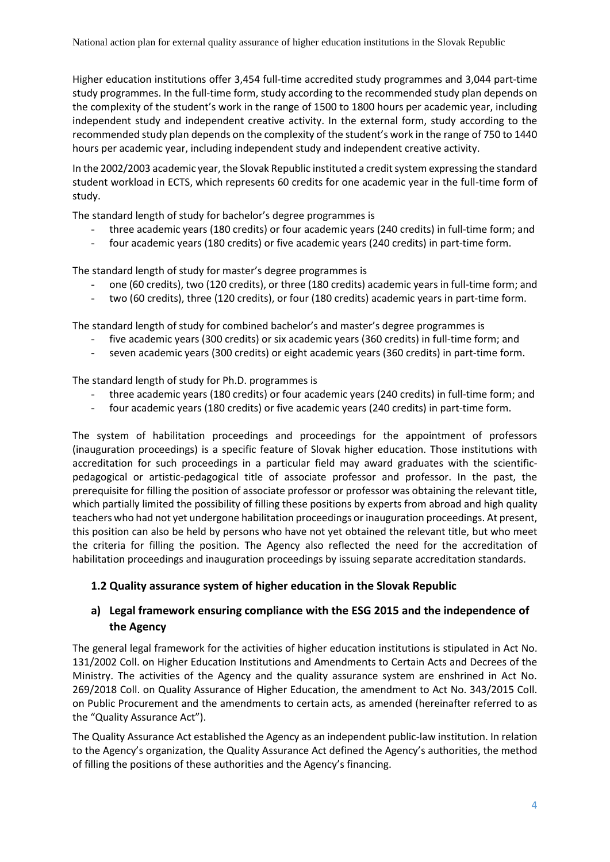Higher education institutions offer 3,454 full-time accredited study programmes and 3,044 part-time study programmes. In the full-time form, study according to the recommended study plan depends on the complexity of the student's work in the range of 1500 to 1800 hours per academic year, including independent study and independent creative activity. In the external form, study according to the recommended study plan depends on the complexity of the student's work in the range of 750 to 1440 hours per academic year, including independent study and independent creative activity.

In the 2002/2003 academic year, the Slovak Republic instituted a credit system expressing the standard student workload in ECTS, which represents 60 credits for one academic year in the full-time form of study.

The standard length of study for bachelor's degree programmes is

- three academic years (180 credits) or four academic years (240 credits) in full-time form; and
- four academic years (180 credits) or five academic years (240 credits) in part-time form.

The standard length of study for master's degree programmes is

- one (60 credits), two (120 credits), or three (180 credits) academic years in full-time form; and
- two (60 credits), three (120 credits), or four (180 credits) academic years in part-time form.

The standard length of study for combined bachelor's and master's degree programmes is

- five academic years (300 credits) or six academic years (360 credits) in full-time form; and
- seven academic years (300 credits) or eight academic years (360 credits) in part-time form.

The standard length of study for Ph.D. programmes is

- three academic years (180 credits) or four academic years (240 credits) in full-time form; and
- four academic years (180 credits) or five academic years (240 credits) in part-time form.

The system of habilitation proceedings and proceedings for the appointment of professors (inauguration proceedings) is a specific feature of Slovak higher education. Those institutions with accreditation for such proceedings in a particular field may award graduates with the scientificpedagogical or artistic-pedagogical title of associate professor and professor. In the past, the prerequisite for filling the position of associate professor or professor was obtaining the relevant title, which partially limited the possibility of filling these positions by experts from abroad and high quality teachers who had not yet undergone habilitation proceedings or inauguration proceedings. At present, this position can also be held by persons who have not yet obtained the relevant title, but who meet the criteria for filling the position. The Agency also reflected the need for the accreditation of habilitation proceedings and inauguration proceedings by issuing separate accreditation standards.

#### <span id="page-4-0"></span>**1.2 Quality assurance system of higher education in the Slovak Republic**

#### <span id="page-4-1"></span>**a) Legal framework ensuring compliance with the ESG 2015 and the independence of the Agency**

The general legal framework for the activities of higher education institutions is stipulated in Act No. 131/2002 Coll. on Higher Education Institutions and Amendments to Certain Acts and Decrees of the Ministry. The activities of the Agency and the quality assurance system are enshrined in Act No. 269/2018 Coll. on Quality Assurance of Higher Education, the amendment to Act No. 343/2015 Coll. on Public Procurement and the amendments to certain acts, as amended (hereinafter referred to as the "Quality Assurance Act").

The Quality Assurance Act established the Agency as an independent public-law institution. In relation to the Agency's organization, the Quality Assurance Act defined the Agency's authorities, the method of filling the positions of these authorities and the Agency's financing.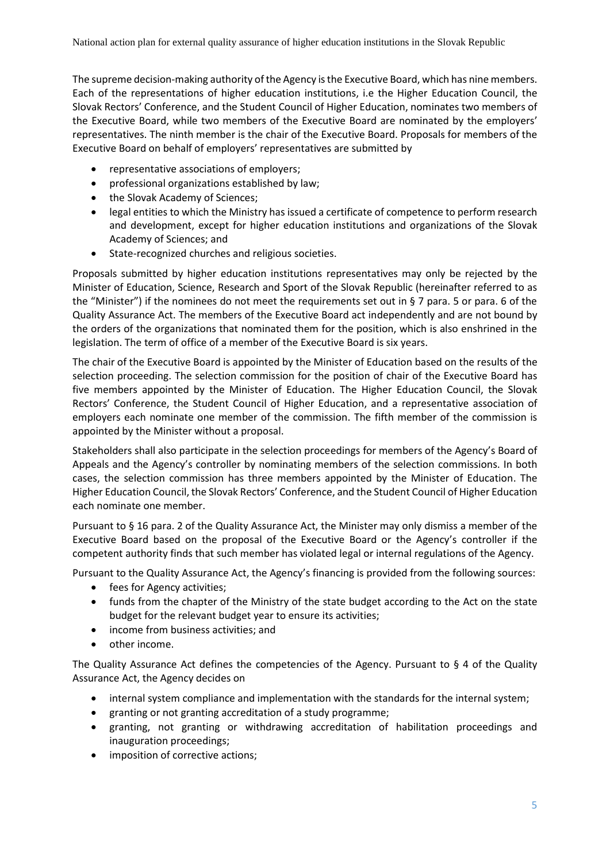The supreme decision-making authority of the Agency is the Executive Board, which has nine members. Each of the representations of higher education institutions, i.e the Higher Education Council, the Slovak Rectors' Conference, and the Student Council of Higher Education, nominates two members of the Executive Board, while two members of the Executive Board are nominated by the employers' representatives. The ninth member is the chair of the Executive Board. Proposals for members of the Executive Board on behalf of employers' representatives are submitted by

- representative associations of employers;
- professional organizations established by law;
- the Slovak Academy of Sciences;
- legal entities to which the Ministry has issued a certificate of competence to perform research and development, except for higher education institutions and organizations of the Slovak Academy of Sciences; and
- State-recognized churches and religious societies.

Proposals submitted by higher education institutions representatives may only be rejected by the Minister of Education, Science, Research and Sport of the Slovak Republic (hereinafter referred to as the "Minister") if the nominees do not meet the requirements set out in § 7 para. 5 or para. 6 of the Quality Assurance Act. The members of the Executive Board act independently and are not bound by the orders of the organizations that nominated them for the position, which is also enshrined in the legislation. The term of office of a member of the Executive Board is six years.

The chair of the Executive Board is appointed by the Minister of Education based on the results of the selection proceeding. The selection commission for the position of chair of the Executive Board has five members appointed by the Minister of Education. The Higher Education Council, the Slovak Rectors' Conference, the Student Council of Higher Education, and a representative association of employers each nominate one member of the commission. The fifth member of the commission is appointed by the Minister without a proposal.

Stakeholders shall also participate in the selection proceedings for members of the Agency's Board of Appeals and the Agency's controller by nominating members of the selection commissions. In both cases, the selection commission has three members appointed by the Minister of Education. The Higher Education Council, the Slovak Rectors' Conference, and the Student Council of Higher Education each nominate one member.

Pursuant to § 16 para. 2 of the Quality Assurance Act, the Minister may only dismiss a member of the Executive Board based on the proposal of the Executive Board or the Agency's controller if the competent authority finds that such member has violated legal or internal regulations of the Agency.

Pursuant to the Quality Assurance Act, the Agency's financing is provided from the following sources:

- fees for Agency activities;
- funds from the chapter of the Ministry of the state budget according to the Act on the state budget for the relevant budget year to ensure its activities;
- income from business activities; and
- other income.

The Quality Assurance Act defines the competencies of the Agency. Pursuant to  $\S$  4 of the Quality Assurance Act, the Agency decides on

- internal system compliance and implementation with the standards for the internal system;
- granting or not granting accreditation of a study programme;
- granting, not granting or withdrawing accreditation of habilitation proceedings and inauguration proceedings;
- imposition of corrective actions;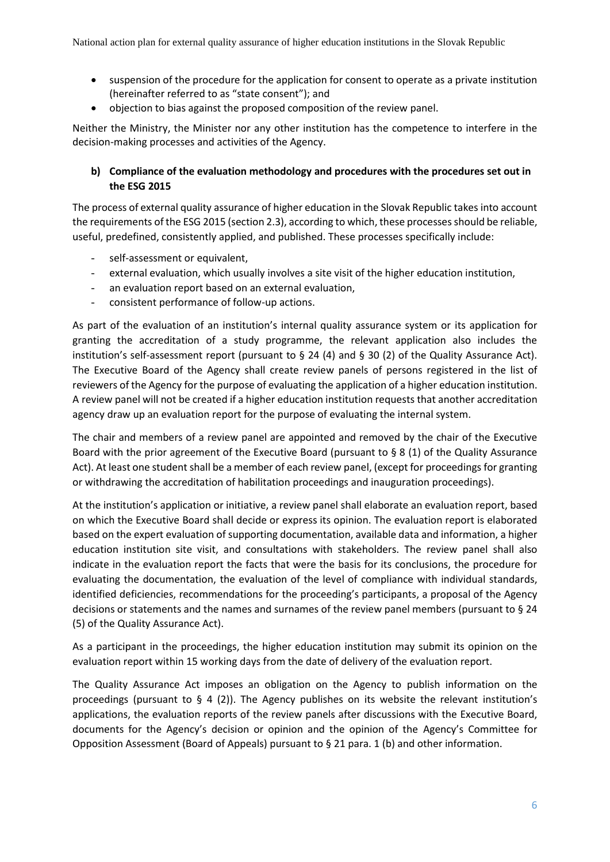- suspension of the procedure for the application for consent to operate as a private institution (hereinafter referred to as "state consent"); and
- objection to bias against the proposed composition of the review panel.

Neither the Ministry, the Minister nor any other institution has the competence to interfere in the decision-making processes and activities of the Agency.

#### <span id="page-6-0"></span>**b) Compliance of the evaluation methodology and procedures with the procedures set out in the ESG 2015**

The process of external quality assurance of higher education in the Slovak Republic takes into account the requirements of the ESG 2015 (section 2.3), according to which, these processes should be reliable, useful, predefined, consistently applied, and published. These processes specifically include:

- self-assessment or equivalent,
- external evaluation, which usually involves a site visit of the higher education institution,
- an evaluation report based on an external evaluation,
- consistent performance of follow-up actions.

As part of the evaluation of an institution's internal quality assurance system or its application for granting the accreditation of a study programme, the relevant application also includes the institution's self-assessment report (pursuant to  $\S$  24 (4) and  $\S$  30 (2) of the Quality Assurance Act). The Executive Board of the Agency shall create review panels of persons registered in the list of reviewers of the Agency for the purpose of evaluating the application of a higher education institution. A review panel will not be created if a higher education institution requests that another accreditation agency draw up an evaluation report for the purpose of evaluating the internal system.

The chair and members of a review panel are appointed and removed by the chair of the Executive Board with the prior agreement of the Executive Board (pursuant to § 8 (1) of the Quality Assurance Act). At least one student shall be a member of each review panel, (except for proceedings for granting or withdrawing the accreditation of habilitation proceedings and inauguration proceedings).

At the institution's application or initiative, a review panel shall elaborate an evaluation report, based on which the Executive Board shall decide or express its opinion. The evaluation report is elaborated based on the expert evaluation of supporting documentation, available data and information, a higher education institution site visit, and consultations with stakeholders. The review panel shall also indicate in the evaluation report the facts that were the basis for its conclusions, the procedure for evaluating the documentation, the evaluation of the level of compliance with individual standards, identified deficiencies, recommendations for the proceeding's participants, a proposal of the Agency decisions or statements and the names and surnames of the review panel members (pursuant to § 24 (5) of the Quality Assurance Act).

As a participant in the proceedings, the higher education institution may submit its opinion on the evaluation report within 15 working days from the date of delivery of the evaluation report.

The Quality Assurance Act imposes an obligation on the Agency to publish information on the proceedings (pursuant to  $\S$  4 (2)). The Agency publishes on its website the relevant institution's applications, the evaluation reports of the review panels after discussions with the Executive Board, documents for the Agency's decision or opinion and the opinion of the Agency's Committee for Opposition Assessment (Board of Appeals) pursuant to § 21 para. 1 (b) and other information.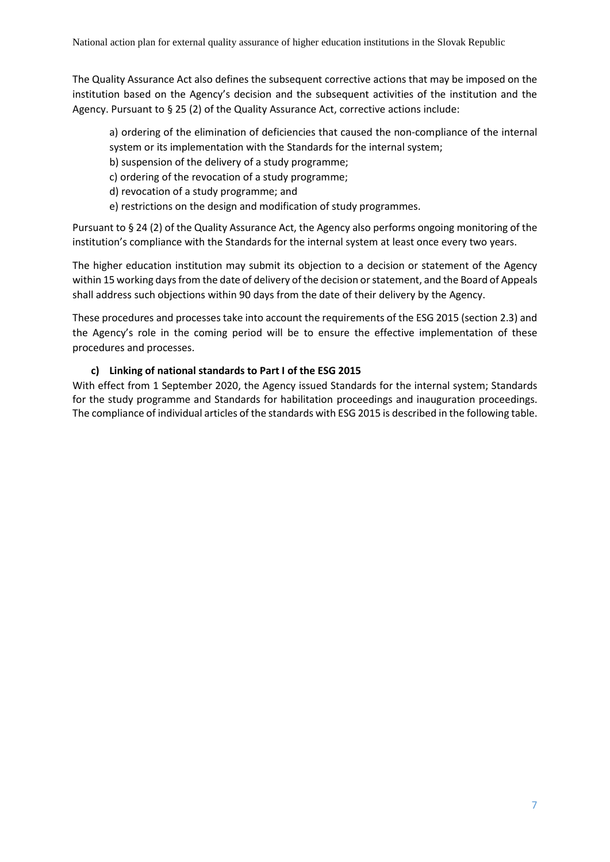The Quality Assurance Act also defines the subsequent corrective actions that may be imposed on the institution based on the Agency's decision and the subsequent activities of the institution and the Agency. Pursuant to § 25 (2) of the Quality Assurance Act, corrective actions include:

a) ordering of the elimination of deficiencies that caused the non-compliance of the internal system or its implementation with the Standards for the internal system;

- b) suspension of the delivery of a study programme;
- c) ordering of the revocation of a study programme;
- d) revocation of a study programme; and
- e) restrictions on the design and modification of study programmes.

Pursuant to § 24 (2) of the Quality Assurance Act, the Agency also performs ongoing monitoring of the institution's compliance with the Standards for the internal system at least once every two years.

The higher education institution may submit its objection to a decision or statement of the Agency within 15 working days from the date of delivery of the decision or statement, and the Board of Appeals shall address such objections within 90 days from the date of their delivery by the Agency.

These procedures and processes take into account the requirements of the ESG 2015 (section 2.3) and the Agency's role in the coming period will be to ensure the effective implementation of these procedures and processes.

#### **c) Linking of national standards to Part I of the ESG 2015**

<span id="page-7-0"></span>With effect from 1 September 2020, the Agency issued Standards for the internal system; Standards for the study programme and Standards for habilitation proceedings and inauguration proceedings. The compliance of individual articles of the standards with ESG 2015 is described in the following table.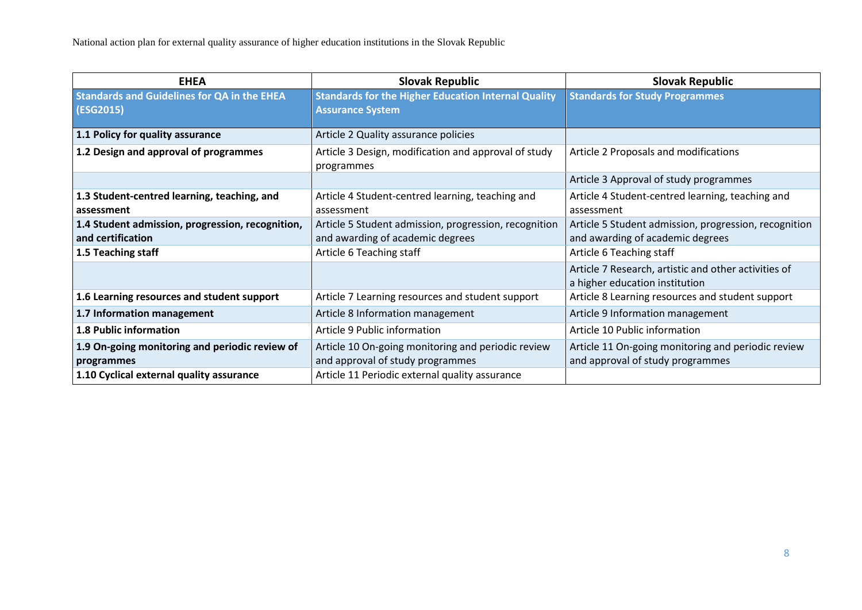| <b>EHEA</b>                                                           | <b>Slovak Republic</b>                                                                    | <b>Slovak Republic</b>                                                                    |
|-----------------------------------------------------------------------|-------------------------------------------------------------------------------------------|-------------------------------------------------------------------------------------------|
| <b>Standards and Guidelines for QA in the EHEA</b><br>(ESG2015)       | <b>Standards for the Higher Education Internal Quality</b><br><b>Assurance System</b>     | <b>Standards for Study Programmes</b>                                                     |
| 1.1 Policy for quality assurance                                      | Article 2 Quality assurance policies                                                      |                                                                                           |
| 1.2 Design and approval of programmes                                 | Article 3 Design, modification and approval of study<br>programmes                        | Article 2 Proposals and modifications                                                     |
|                                                                       |                                                                                           | Article 3 Approval of study programmes                                                    |
| 1.3 Student-centred learning, teaching, and<br>assessment             | Article 4 Student-centred learning, teaching and<br>assessment                            | Article 4 Student-centred learning, teaching and<br>assessment                            |
| 1.4 Student admission, progression, recognition,<br>and certification | Article 5 Student admission, progression, recognition<br>and awarding of academic degrees | Article 5 Student admission, progression, recognition<br>and awarding of academic degrees |
| 1.5 Teaching staff                                                    | Article 6 Teaching staff                                                                  | Article 6 Teaching staff                                                                  |
|                                                                       |                                                                                           | Article 7 Research, artistic and other activities of<br>a higher education institution    |
| 1.6 Learning resources and student support                            | Article 7 Learning resources and student support                                          | Article 8 Learning resources and student support                                          |
| 1.7 Information management                                            | Article 8 Information management                                                          | Article 9 Information management                                                          |
| 1.8 Public information                                                | Article 9 Public information                                                              | Article 10 Public information                                                             |
| 1.9 On-going monitoring and periodic review of<br>programmes          | Article 10 On-going monitoring and periodic review<br>and approval of study programmes    | Article 11 On-going monitoring and periodic review<br>and approval of study programmes    |
| 1.10 Cyclical external quality assurance                              | Article 11 Periodic external quality assurance                                            |                                                                                           |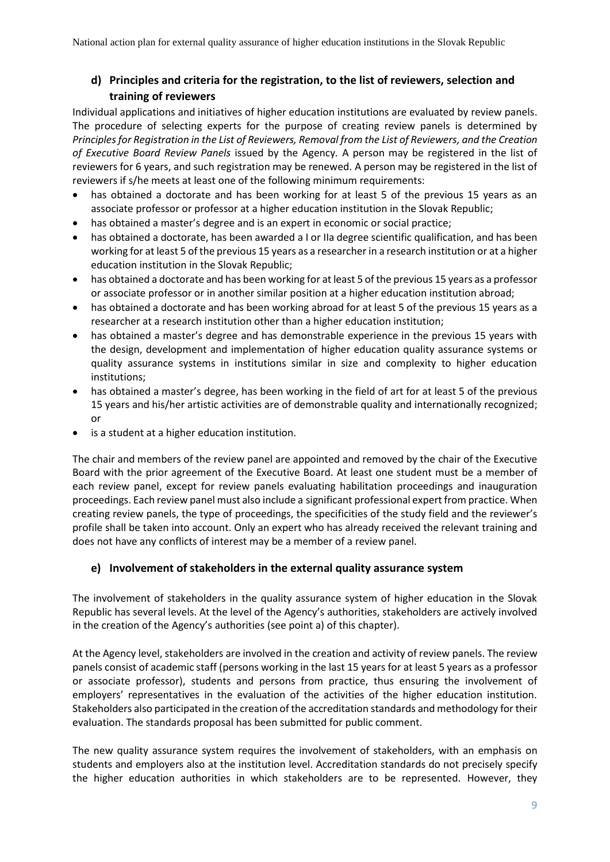### <span id="page-9-0"></span>**d) Principles and criteria for the registration, to the list of reviewers, selection and training of reviewers**

Individual applications and initiatives of higher education institutions are evaluated by review panels. The procedure of selecting experts for the purpose of creating review panels is determined by *Principles for Registration in the List of Reviewers, Removal from the List of Reviewers, and the Creation of Executive Board Review Panels* issued by the Agency*.* A person may be registered in the list of reviewers for 6 years, and such registration may be renewed. A person may be registered in the list of reviewers if s/he meets at least one of the following minimum requirements:

- has obtained a doctorate and has been working for at least 5 of the previous 15 years as an associate professor or professor at a higher education institution in the Slovak Republic;
- has obtained a master's degree and is an expert in economic or social practice;
- has obtained a doctorate, has been awarded a I or IIa degree scientific qualification, and has been working for at least 5 of the previous 15 years as a researcher in a research institution or at a higher education institution in the Slovak Republic;
- has obtained a doctorate and has been working for at least 5 of the previous 15 years as a professor or associate professor or in another similar position at a higher education institution abroad;
- has obtained a doctorate and has been working abroad for at least 5 of the previous 15 years as a researcher at a research institution other than a higher education institution;
- has obtained a master's degree and has demonstrable experience in the previous 15 years with the design, development and implementation of higher education quality assurance systems or quality assurance systems in institutions similar in size and complexity to higher education institutions;
- has obtained a master's degree, has been working in the field of art for at least 5 of the previous 15 years and his/her artistic activities are of demonstrable quality and internationally recognized; or
- is a student at a higher education institution.

The chair and members of the review panel are appointed and removed by the chair of the Executive Board with the prior agreement of the Executive Board. At least one student must be a member of each review panel, except for review panels evaluating habilitation proceedings and inauguration proceedings. Each review panel must also include a significant professional expert from practice. When creating review panels, the type of proceedings, the specificities of the study field and the reviewer's profile shall be taken into account. Only an expert who has already received the relevant training and does not have any conflicts of interest may be a member of a review panel.

#### <span id="page-9-1"></span>**e) Involvement of stakeholders in the external quality assurance system**

The involvement of stakeholders in the quality assurance system of higher education in the Slovak Republic has several levels. At the level of the Agency's authorities, stakeholders are actively involved in the creation of the Agency's authorities (see point a) of this chapter).

At the Agency level, stakeholders are involved in the creation and activity of review panels. The review panels consist of academic staff (persons working in the last 15 years for at least 5 years as a professor or associate professor), students and persons from practice, thus ensuring the involvement of employers' representatives in the evaluation of the activities of the higher education institution. Stakeholders also participated in the creation of the accreditation standards and methodology for their evaluation. The standards proposal has been submitted for public comment.

The new quality assurance system requires the involvement of stakeholders, with an emphasis on students and employers also at the institution level. Accreditation standards do not precisely specify the higher education authorities in which stakeholders are to be represented. However, they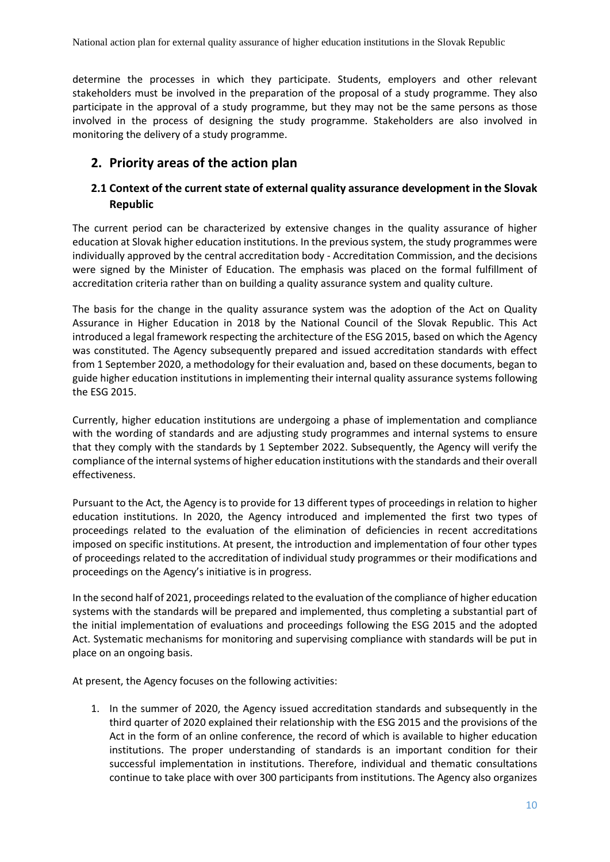determine the processes in which they participate. Students, employers and other relevant stakeholders must be involved in the preparation of the proposal of a study programme. They also participate in the approval of a study programme, but they may not be the same persons as those involved in the process of designing the study programme. Stakeholders are also involved in monitoring the delivery of a study programme.

## <span id="page-10-0"></span>**2. Priority areas of the action plan**

#### <span id="page-10-1"></span>**2.1 Context of the current state of external quality assurance development in the Slovak Republic**

The current period can be characterized by extensive changes in the quality assurance of higher education at Slovak higher education institutions. In the previous system, the study programmes were individually approved by the central accreditation body - Accreditation Commission, and the decisions were signed by the Minister of Education. The emphasis was placed on the formal fulfillment of accreditation criteria rather than on building a quality assurance system and quality culture.

The basis for the change in the quality assurance system was the adoption of the Act on Quality Assurance in Higher Education in 2018 by the National Council of the Slovak Republic. This Act introduced a legal framework respecting the architecture of the ESG 2015, based on which the Agency was constituted. The Agency subsequently prepared and issued accreditation standards with effect from 1 September 2020, a methodology for their evaluation and, based on these documents, began to guide higher education institutions in implementing their internal quality assurance systems following the ESG 2015.

Currently, higher education institutions are undergoing a phase of implementation and compliance with the wording of standards and are adjusting study programmes and internal systems to ensure that they comply with the standards by 1 September 2022. Subsequently, the Agency will verify the compliance of the internal systems of higher education institutions with the standards and their overall effectiveness.

Pursuant to the Act, the Agency is to provide for 13 different types of proceedings in relation to higher education institutions. In 2020, the Agency introduced and implemented the first two types of proceedings related to the evaluation of the elimination of deficiencies in recent accreditations imposed on specific institutions. At present, the introduction and implementation of four other types of proceedings related to the accreditation of individual study programmes or their modifications and proceedings on the Agency's initiative is in progress.

In the second half of 2021, proceedings related to the evaluation of the compliance of higher education systems with the standards will be prepared and implemented, thus completing a substantial part of the initial implementation of evaluations and proceedings following the ESG 2015 and the adopted Act. Systematic mechanisms for monitoring and supervising compliance with standards will be put in place on an ongoing basis.

At present, the Agency focuses on the following activities:

1. In the summer of 2020, the Agency issued accreditation standards and subsequently in the third quarter of 2020 explained their relationship with the ESG 2015 and the provisions of the Act in the form of an online conference, the record of which is available to higher education institutions. The proper understanding of standards is an important condition for their successful implementation in institutions. Therefore, individual and thematic consultations continue to take place with over 300 participants from institutions. The Agency also organizes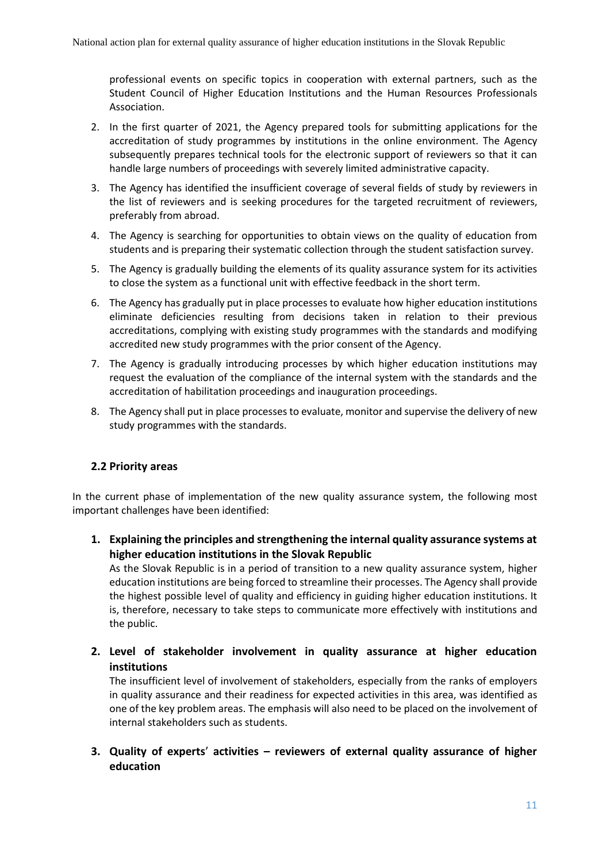professional events on specific topics in cooperation with external partners, such as the Student Council of Higher Education Institutions and the Human Resources Professionals Association.

- 2. In the first quarter of 2021, the Agency prepared tools for submitting applications for the accreditation of study programmes by institutions in the online environment. The Agency subsequently prepares technical tools for the electronic support of reviewers so that it can handle large numbers of proceedings with severely limited administrative capacity.
- 3. The Agency has identified the insufficient coverage of several fields of study by reviewers in the list of reviewers and is seeking procedures for the targeted recruitment of reviewers, preferably from abroad.
- 4. The Agency is searching for opportunities to obtain views on the quality of education from students and is preparing their systematic collection through the student satisfaction survey.
- 5. The Agency is gradually building the elements of its quality assurance system for its activities to close the system as a functional unit with effective feedback in the short term.
- 6. The Agency has gradually put in place processes to evaluate how higher education institutions eliminate deficiencies resulting from decisions taken in relation to their previous accreditations, complying with existing study programmes with the standards and modifying accredited new study programmes with the prior consent of the Agency.
- 7. The Agency is gradually introducing processes by which higher education institutions may request the evaluation of the compliance of the internal system with the standards and the accreditation of habilitation proceedings and inauguration proceedings.
- 8. The Agency shall put in place processes to evaluate, monitor and supervise the delivery of new study programmes with the standards.

#### <span id="page-11-0"></span>**2.2 Priority areas**

In the current phase of implementation of the new quality assurance system, the following most important challenges have been identified:

**1. Explaining the principles and strengthening the internal quality assurance systems at higher education institutions in the Slovak Republic**

As the Slovak Republic is in a period of transition to a new quality assurance system, higher education institutions are being forced to streamline their processes. The Agency shall provide the highest possible level of quality and efficiency in guiding higher education institutions. It is, therefore, necessary to take steps to communicate more effectively with institutions and the public.

**2. Level of stakeholder involvement in quality assurance at higher education institutions**

The insufficient level of involvement of stakeholders, especially from the ranks of employers in quality assurance and their readiness for expected activities in this area, was identified as one of the key problem areas. The emphasis will also need to be placed on the involvement of internal stakeholders such as students.

**3. Quality of experts**' **activities – reviewers of external quality assurance of higher education**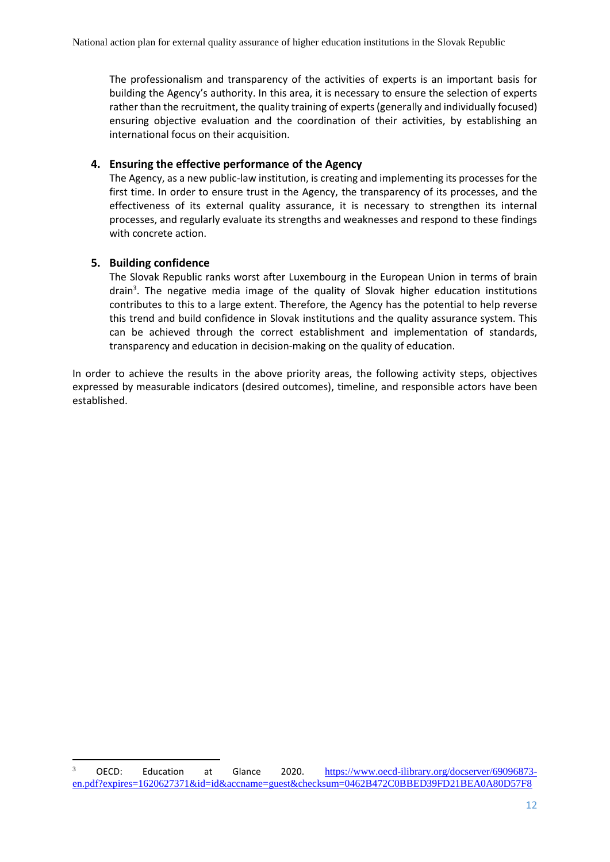The professionalism and transparency of the activities of experts is an important basis for building the Agency's authority. In this area, it is necessary to ensure the selection of experts rather than the recruitment, the quality training of experts (generally and individually focused) ensuring objective evaluation and the coordination of their activities, by establishing an international focus on their acquisition.

#### **4. Ensuring the effective performance of the Agency**

The Agency, as a new public-law institution, is creating and implementing its processes for the first time. In order to ensure trust in the Agency, the transparency of its processes, and the effectiveness of its external quality assurance, it is necessary to strengthen its internal processes, and regularly evaluate its strengths and weaknesses and respond to these findings with concrete action.

#### **5. Building confidence**

 $\overline{a}$ 

The Slovak Republic ranks worst after Luxembourg in the European Union in terms of brain drain<sup>3</sup>. The negative media image of the quality of Slovak higher education institutions contributes to this to a large extent. Therefore, the Agency has the potential to help reverse this trend and build confidence in Slovak institutions and the quality assurance system. This can be achieved through the correct establishment and implementation of standards, transparency and education in decision-making on the quality of education.

In order to achieve the results in the above priority areas, the following activity steps, objectives expressed by measurable indicators (desired outcomes), timeline, and responsible actors have been established.

<sup>&</sup>lt;sup>3</sup> OECD: Education at Glance 2020. [https://www.oecd-ilibrary.org/docserver/69096873](https://www.oecd-ilibrary.org/docserver/69096873-en.pdf?expires=1620627371&id=id&accname=guest&checksum=0462B472C0BBED39FD21BEA0A80D57F8) [en.pdf?expires=1620627371&id=id&accname=guest&checksum=0462B472C0BBED39FD21BEA0A80D57F8](https://www.oecd-ilibrary.org/docserver/69096873-en.pdf?expires=1620627371&id=id&accname=guest&checksum=0462B472C0BBED39FD21BEA0A80D57F8)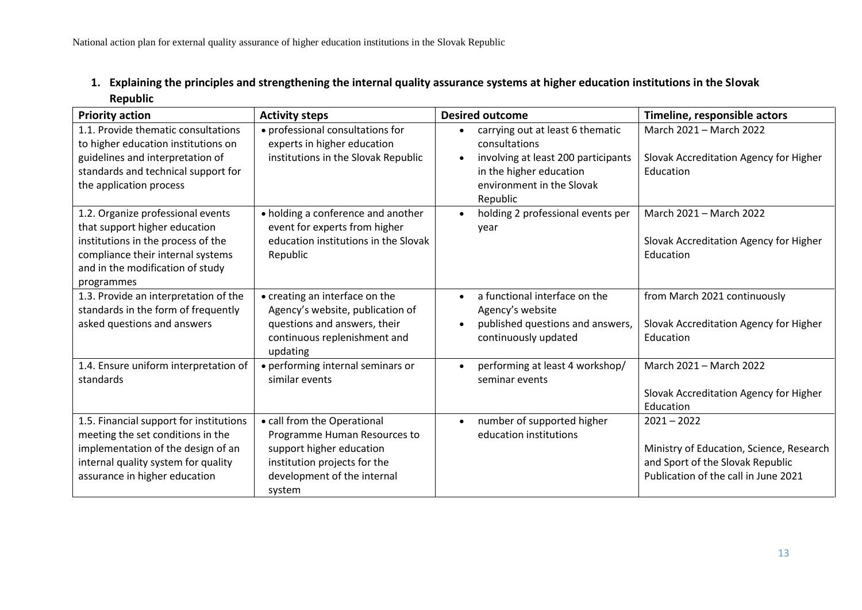| 1. Explaining the principles and strengthening the internal quality assurance systems at higher education institutions in the Slovak |
|--------------------------------------------------------------------------------------------------------------------------------------|
| Republic                                                                                                                             |

<span id="page-13-0"></span>

| <b>Priority action</b>                                                                                                                                                                          | <b>Activity steps</b>                                                                                                                                            | <b>Desired outcome</b>                                                                                                     | Timeline, responsible actors                                                                                                          |
|-------------------------------------------------------------------------------------------------------------------------------------------------------------------------------------------------|------------------------------------------------------------------------------------------------------------------------------------------------------------------|----------------------------------------------------------------------------------------------------------------------------|---------------------------------------------------------------------------------------------------------------------------------------|
| 1.1. Provide thematic consultations<br>to higher education institutions on                                                                                                                      | • professional consultations for<br>experts in higher education                                                                                                  | carrying out at least 6 thematic<br>$\bullet$<br>consultations                                                             | March 2021 - March 2022                                                                                                               |
| guidelines and interpretation of<br>standards and technical support for<br>the application process                                                                                              | institutions in the Slovak Republic                                                                                                                              | involving at least 200 participants<br>$\bullet$<br>in the higher education<br>environment in the Slovak<br>Republic       | Slovak Accreditation Agency for Higher<br>Education                                                                                   |
| 1.2. Organize professional events<br>that support higher education<br>institutions in the process of the<br>compliance their internal systems<br>and in the modification of study<br>programmes | • holding a conference and another<br>event for experts from higher<br>education institutions in the Slovak<br>Republic                                          | holding 2 professional events per<br>$\bullet$<br>year                                                                     | March 2021 - March 2022<br>Slovak Accreditation Agency for Higher<br>Education                                                        |
| 1.3. Provide an interpretation of the<br>standards in the form of frequently<br>asked questions and answers                                                                                     | • creating an interface on the<br>Agency's website, publication of<br>questions and answers, their<br>continuous replenishment and<br>updating                   | a functional interface on the<br>$\bullet$<br>Agency's website<br>published questions and answers,<br>continuously updated | from March 2021 continuously<br>Slovak Accreditation Agency for Higher<br>Education                                                   |
| 1.4. Ensure uniform interpretation of<br>standards                                                                                                                                              | • performing internal seminars or<br>similar events                                                                                                              | performing at least 4 workshop/<br>$\bullet$<br>seminar events                                                             | March 2021 - March 2022<br>Slovak Accreditation Agency for Higher<br>Education                                                        |
| 1.5. Financial support for institutions<br>meeting the set conditions in the<br>implementation of the design of an<br>internal quality system for quality<br>assurance in higher education      | • call from the Operational<br>Programme Human Resources to<br>support higher education<br>institution projects for the<br>development of the internal<br>system | number of supported higher<br>$\bullet$<br>education institutions                                                          | $2021 - 2022$<br>Ministry of Education, Science, Research<br>and Sport of the Slovak Republic<br>Publication of the call in June 2021 |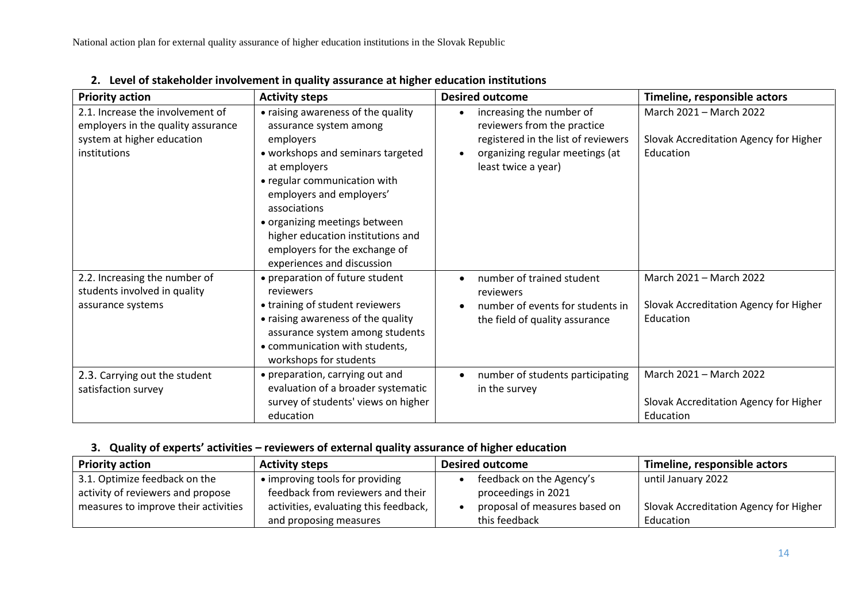| <b>Priority action</b>                                                                                               | <b>Activity steps</b>                                                                                                                                                                                                                                                                                                                           | <b>Desired outcome</b>                                                                                                                                                | Timeline, responsible actors                                                   |
|----------------------------------------------------------------------------------------------------------------------|-------------------------------------------------------------------------------------------------------------------------------------------------------------------------------------------------------------------------------------------------------------------------------------------------------------------------------------------------|-----------------------------------------------------------------------------------------------------------------------------------------------------------------------|--------------------------------------------------------------------------------|
| 2.1. Increase the involvement of<br>employers in the quality assurance<br>system at higher education<br>institutions | • raising awareness of the quality<br>assurance system among<br>employers<br>• workshops and seminars targeted<br>at employers<br>• regular communication with<br>employers and employers'<br>associations<br>• organizing meetings between<br>higher education institutions and<br>employers for the exchange of<br>experiences and discussion | increasing the number of<br>$\bullet$<br>reviewers from the practice<br>registered in the list of reviewers<br>organizing regular meetings (at<br>least twice a year) | March 2021 - March 2022<br>Slovak Accreditation Agency for Higher<br>Education |
| 2.2. Increasing the number of<br>students involved in quality<br>assurance systems                                   | • preparation of future student<br>reviewers<br>• training of student reviewers<br>• raising awareness of the quality<br>assurance system among students<br>• communication with students,<br>workshops for students                                                                                                                            | number of trained student<br>reviewers<br>number of events for students in<br>the field of quality assurance                                                          | March 2021 - March 2022<br>Slovak Accreditation Agency for Higher<br>Education |
| 2.3. Carrying out the student<br>satisfaction survey                                                                 | • preparation, carrying out and<br>evaluation of a broader systematic<br>survey of students' views on higher<br>education                                                                                                                                                                                                                       | number of students participating<br>in the survey                                                                                                                     | March 2021 - March 2022<br>Slovak Accreditation Agency for Higher<br>Education |

**2. Level of stakeholder involvement in quality assurance at higher education institutions**

## <span id="page-14-0"></span>**3. Quality of experts' activities – reviewers of external quality assurance of higher education**

<span id="page-14-1"></span>

| <b>Priority action</b>               | <b>Activity steps</b>                 | <b>Desired outcome</b>        | Timeline, responsible actors           |
|--------------------------------------|---------------------------------------|-------------------------------|----------------------------------------|
| 3.1. Optimize feedback on the        | • improving tools for providing       | feedback on the Agency's      | until January 2022                     |
| activity of reviewers and propose    | feedback from reviewers and their     | proceedings in 2021           |                                        |
| measures to improve their activities | activities, evaluating this feedback, | proposal of measures based on | Slovak Accreditation Agency for Higher |
|                                      | and proposing measures                | this feedback                 | Education                              |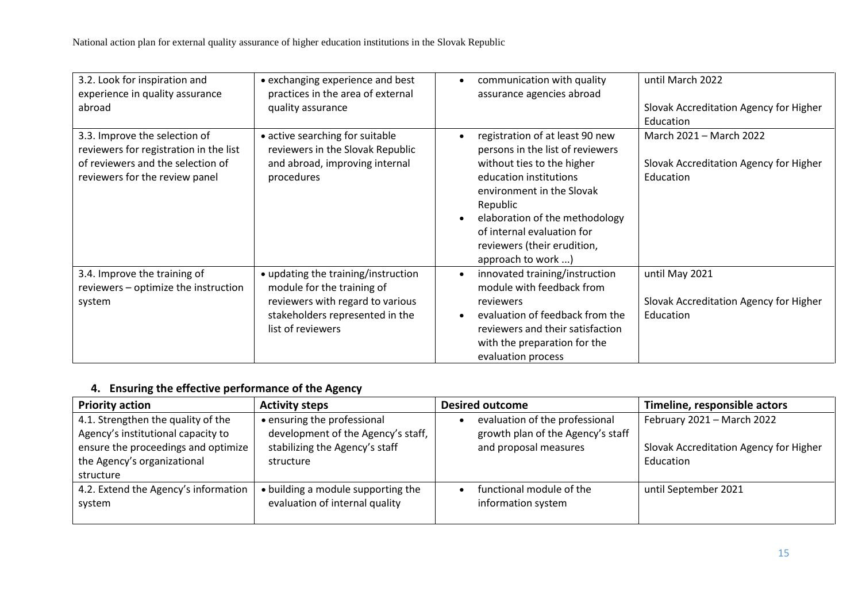| 3.2. Look for inspiration and<br>experience in quality assurance<br>abroad                                                                     | • exchanging experience and best<br>practices in the area of external<br>quality assurance                                                                    | communication with quality<br>$\bullet$<br>assurance agencies abroad                                                                                                                                                                                                                      | until March 2022<br>Slovak Accreditation Agency for Higher<br>Education        |
|------------------------------------------------------------------------------------------------------------------------------------------------|---------------------------------------------------------------------------------------------------------------------------------------------------------------|-------------------------------------------------------------------------------------------------------------------------------------------------------------------------------------------------------------------------------------------------------------------------------------------|--------------------------------------------------------------------------------|
| 3.3. Improve the selection of<br>reviewers for registration in the list<br>of reviewers and the selection of<br>reviewers for the review panel | • active searching for suitable<br>reviewers in the Slovak Republic<br>and abroad, improving internal<br>procedures                                           | registration of at least 90 new<br>persons in the list of reviewers<br>without ties to the higher<br>education institutions<br>environment in the Slovak<br>Republic<br>elaboration of the methodology<br>of internal evaluation for<br>reviewers (their erudition,<br>approach to work ) | March 2021 - March 2022<br>Slovak Accreditation Agency for Higher<br>Education |
| 3.4. Improve the training of<br>reviewers - optimize the instruction<br>system                                                                 | • updating the training/instruction<br>module for the training of<br>reviewers with regard to various<br>stakeholders represented in the<br>list of reviewers | innovated training/instruction<br>$\bullet$<br>module with feedback from<br>reviewers<br>evaluation of feedback from the<br>reviewers and their satisfaction<br>with the preparation for the<br>evaluation process                                                                        | until May 2021<br>Slovak Accreditation Agency for Higher<br>Education          |

## **4. Ensuring the effective performance of the Agency**

<span id="page-15-0"></span>

| <b>Priority action</b>               | <b>Activity steps</b>              | <b>Desired outcome</b>            | Timeline, responsible actors           |
|--------------------------------------|------------------------------------|-----------------------------------|----------------------------------------|
| 4.1. Strengthen the quality of the   | • ensuring the professional        | evaluation of the professional    | February 2021 - March 2022             |
| Agency's institutional capacity to   | development of the Agency's staff, | growth plan of the Agency's staff |                                        |
| ensure the proceedings and optimize  | stabilizing the Agency's staff     | and proposal measures             | Slovak Accreditation Agency for Higher |
| the Agency's organizational          | structure                          |                                   | Education                              |
| structure                            |                                    |                                   |                                        |
| 4.2. Extend the Agency's information | • building a module supporting the | functional module of the          | until September 2021                   |
| system                               | evaluation of internal quality     | information system                |                                        |
|                                      |                                    |                                   |                                        |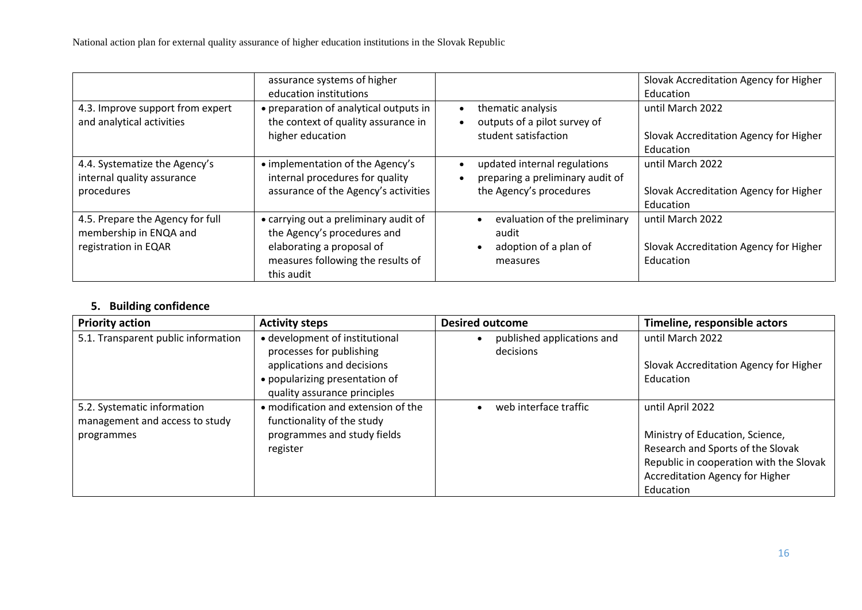|                                                                                    | assurance systems of higher<br>education institutions                                                                                                |                                                                                             | Slovak Accreditation Agency for Higher<br>Education                     |
|------------------------------------------------------------------------------------|------------------------------------------------------------------------------------------------------------------------------------------------------|---------------------------------------------------------------------------------------------|-------------------------------------------------------------------------|
| 4.3. Improve support from expert<br>and analytical activities                      | • preparation of analytical outputs in<br>the context of quality assurance in<br>higher education                                                    | thematic analysis<br>outputs of a pilot survey of<br>student satisfaction                   | until March 2022<br>Slovak Accreditation Agency for Higher<br>Education |
| 4.4. Systematize the Agency's<br>internal quality assurance<br>procedures          | • implementation of the Agency's<br>internal procedures for quality<br>assurance of the Agency's activities                                          | updated internal regulations<br>preparing a preliminary audit of<br>the Agency's procedures | until March 2022<br>Slovak Accreditation Agency for Higher<br>Education |
| 4.5. Prepare the Agency for full<br>membership in ENQA and<br>registration in EQAR | • carrying out a preliminary audit of<br>the Agency's procedures and<br>elaborating a proposal of<br>measures following the results of<br>this audit | evaluation of the preliminary<br>audit<br>adoption of a plan of<br>measures                 | until March 2022<br>Slovak Accreditation Agency for Higher<br>Education |

# **5. Building confidence**

<span id="page-16-0"></span>

| <b>Priority action</b>              | <b>Activity steps</b>               | <b>Desired outcome</b>     | Timeline, responsible actors            |
|-------------------------------------|-------------------------------------|----------------------------|-----------------------------------------|
| 5.1. Transparent public information | • development of institutional      | published applications and | until March 2022                        |
|                                     | processes for publishing            | decisions                  |                                         |
|                                     | applications and decisions          |                            | Slovak Accreditation Agency for Higher  |
|                                     | • popularizing presentation of      |                            | Education                               |
|                                     | quality assurance principles        |                            |                                         |
| 5.2. Systematic information         | • modification and extension of the | web interface traffic      | until April 2022                        |
| management and access to study      | functionality of the study          |                            |                                         |
| programmes                          | programmes and study fields         |                            | Ministry of Education, Science,         |
|                                     | register                            |                            | Research and Sports of the Slovak       |
|                                     |                                     |                            | Republic in cooperation with the Slovak |
|                                     |                                     |                            | <b>Accreditation Agency for Higher</b>  |
|                                     |                                     |                            | Education                               |